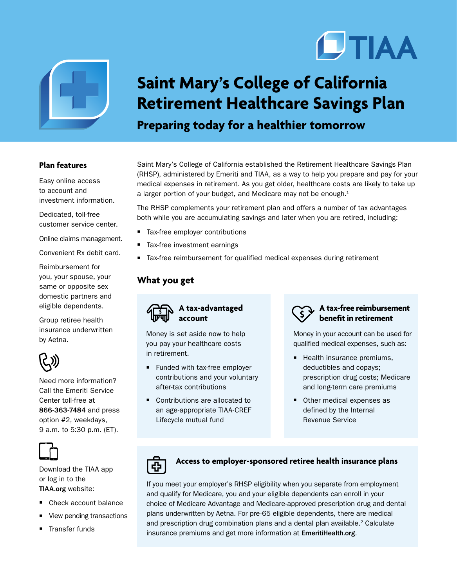



# **Saint Mary's College of California Retirement Healthcare Savings Plan**

## **Preparing today for a healthier tomorrow**

#### **Plan features**

Easy online access to account and investment information.

Dedicated, toll-free customer service center.

Online claims management.

Convenient Rx debit card.

Reimbursement for you, your spouse, your same or opposite sex domestic partners and eligible dependents.

Group retiree health insurance underwritten by Aetna.



Need more information? Call the Emeriti Service Center toll-free at 866-363-7484 and press option #2, weekdays, 9 a.m. to 5:30 p.m. (ET).



Download the TIAA app or log in to the TIAA.org website:

- Check account balance
- View pending transactions
- **F** Transfer funds

Saint Mary's College of California established the Retirement Healthcare Savings Plan (RHSP), administered by Emeriti and TIAA, as a way to help you prepare and pay for your medical expenses in retirement. As you get older, healthcare costs are likely to take up a larger portion of your budget, and Medicare may not be enough. $1$ 

The RHSP complements your retirement plan and offers a number of tax advantages both while you are accumulating savings and later when you are retired, including:

- Tax-free employer contributions
- Tax-free investment earnings
- Tax-free reimbursement for qualified medical expenses during retirement

#### **What you get**



Money is set aside now to help you pay your healthcare costs in retirement.

- Funded with tax-free employer contributions and your voluntary after-tax contributions
- Contributions are allocated to an age-appropriate TIAA-CREF Lifecycle mutual fund



Money in your account can be used for qualified medical expenses, such as:

- $\blacksquare$  Health insurance premiums, deductibles and copays; prescription drug costs; Medicare and long-term care premiums
- **Other medical expenses as** defined by the Internal Revenue Service



### **Access to employer-sponsored retiree health insurance plans**

If you meet your employer's RHSP eligibility when you separate from employment and qualify for Medicare, you and your eligible dependents can enroll in your choice of Medicare Advantage and Medicare-approved prescription drug and dental plans underwritten by Aetna. For pre-65 eligible dependents, there are medical and prescription drug combination plans and a dental plan available.<sup>2</sup> Calculate insurance premiums and get more information at EmeritiHealth.org.